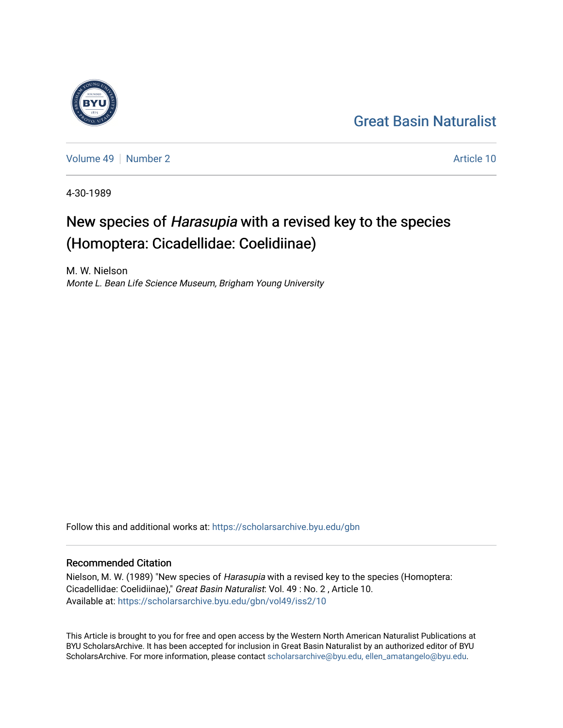## [Great Basin Naturalist](https://scholarsarchive.byu.edu/gbn)

[Volume 49](https://scholarsarchive.byu.edu/gbn/vol49) [Number 2](https://scholarsarchive.byu.edu/gbn/vol49/iss2) Article 10

4-30-1989

# New species of Harasupia with a revised key to the species (Homoptera: Cicadellidae: Coelidiinae)

M. W. Nielson Monte L. Bean Life Science Museum, Brigham Young University

Follow this and additional works at: [https://scholarsarchive.byu.edu/gbn](https://scholarsarchive.byu.edu/gbn?utm_source=scholarsarchive.byu.edu%2Fgbn%2Fvol49%2Fiss2%2F10&utm_medium=PDF&utm_campaign=PDFCoverPages) 

## Recommended Citation

Nielson, M. W. (1989) "New species of Harasupia with a revised key to the species (Homoptera: Cicadellidae: Coelidiinae)," Great Basin Naturalist: Vol. 49 : No. 2 , Article 10. Available at: [https://scholarsarchive.byu.edu/gbn/vol49/iss2/10](https://scholarsarchive.byu.edu/gbn/vol49/iss2/10?utm_source=scholarsarchive.byu.edu%2Fgbn%2Fvol49%2Fiss2%2F10&utm_medium=PDF&utm_campaign=PDFCoverPages) 

This Article is brought to you for free and open access by the Western North American Naturalist Publications at BYU ScholarsArchive. It has been accepted for inclusion in Great Basin Naturalist by an authorized editor of BYU ScholarsArchive. For more information, please contact [scholarsarchive@byu.edu, ellen\\_amatangelo@byu.edu.](mailto:scholarsarchive@byu.edu,%20ellen_amatangelo@byu.edu)

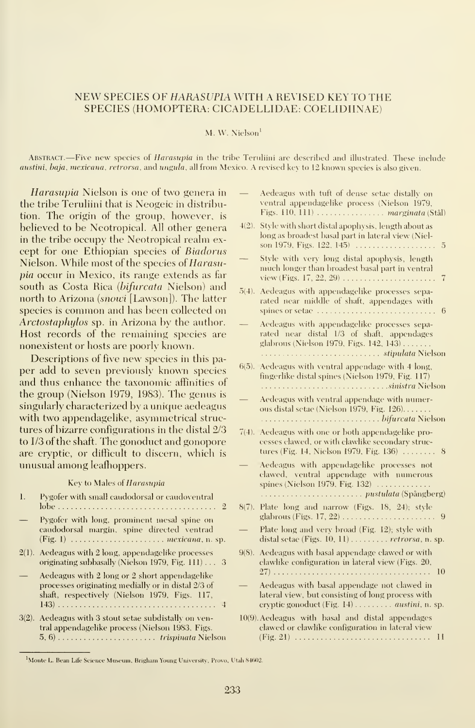#### NEW SPECIES OF HARASUPIA WITH A REVISED KEY TO THE SPECIES (HOMOPTERA: CICADELLIDAE: COELIDIINAE)

#### M. W. Nielson'

ABSTRACT.—Five new species of *Harasupia* in the tribe Teruliini are described and illustrated. These include austini, baja, mexicana, retrorsa. and ungula, all from Mexico. A revised key to 12 known species is also given.

Harasupia Nielson is one of two genera in the tribe Teruliini that is Neogeic in distribution. The origin of the group, however, is believed to be Neotropical. All other genera in the tribe occupy the Neotropical realm ex cept for one Ethiopian species of Biadorus Nielson. While most of the species of Harasupia occur in Mexico, its range extends as far south as Costa Rica (bifurcata Nielson) and north to Arizona (snowi [Lawson]). The latter species is common and has been collected on Arctostaphylos sp. in Arizona by the author. Host records of the remaining species are nonexistent or hosts are poorly known.

Descriptions of five new species in this pa per add to seven previously known species and thus enhance the taxonomic affinities of the group (Nielson 1979, 1983). The genus issingularly characterized by a unique aedeagus with two appendagelike, asymmetrical struc tures of bizarre configurations in the distal 2/3 to 1/3 of the shaft. The gonoduct and gonopore are cryptic, or difficult to discern, which is unusual among leafhoppers.

#### Key to Males of Harasupia

| $\mathbf{I}$ . | Pygofer with small caudodorsal or caudoventral                                                                                                       | 8 |
|----------------|------------------------------------------------------------------------------------------------------------------------------------------------------|---|
|                | Pygofer with long, prominent mesal spine on<br>caudodorsal margin, spine directed ventrad                                                            |   |
|                | $2(1)$ . Aedeagus with 2 long, appendagelike processes<br>originating subbasally (Nielson 1979, Fig. 111) 3                                          | 9 |
|                | Aedeagus with 2 long or 2 short appendagelike<br>processes originating medially or in distal 2/3 of<br>shaft, respectively (Nielson 1979, Figs. 117, |   |
|                | $3(2)$ . Aedeagus with 3 stout setae subdistally on ven-<br>tral appendagelike process (Nielson 1983, Figs.                                          | L |

fingerlike distal spines (Nielson 1979, Fig. 117) sinistra Nielson — Aedeagus with ventral appendage with numerous distal setae (Nielson 1979, Fig. 126) bifurcata Nielson 7(4). Aedeagus with one or both appendagelike pro cesses clawed, or with clawlike secondary struc tures (Fig. 14, Nielson 1979, Fig. 136)  $\dots \dots 8$ <br>Aedeagus with appendagelike processes not clawed, ventral appendage with numerous spines (Nielson 1979, Fig. 132)pustulata (Spangberg) 8(7). Plate long and narrow (Figs. 18, 24); style glabrous (Figs. 17, 22)  $\ldots$   $\ldots$   $\ldots$   $\ldots$   $\ldots$  . 9<br>Plate long and very broad (Fig. 12); style with distal setae (Figs.  $10, 11$ )  $\ldots \ldots \ldots$  retrorsa, n. sp. 9(8). Aedeagus with basal appendage clawed or with clawlike configuration in lateral view (Figs. 20, 27) <sup>10</sup> — Aedeagus with basal appendage not clawed in lateral view, but consisting of long process with ervptic gonoduct (Fig.  $14)$ ........ *austini*, *n. sp.* 

6(5). Aedeagus with ventral appendage with 4 long,

— Aedeagus with tuft of dense setae distally on ventral appendagelike process (Nielson 1979, Figs.  $110$ ,  $111$ )  $\dots \dots \dots \dots \dots$  marginata (Stål) 4(2). Style with short distal apophysis, length about as long as broadest basal part in lateral view (Niel son 1979, Figs. 122, 145) 5 Style with very long distal apophysis, length much longer than broadest basal part in ventral view (Figs.  $17, 22, 29$ )  $\ldots$   $\ldots$   $\ldots$   $\ldots$   $\ldots$  7 5(4). Aedeagus with appendagelike processes separated near middle of shaft, appendages with spines or setae  $\dots \dots \dots \dots \dots \dots \dots \dots \dots$  6 — Aedeagus with appendagelike processes sepa rated near distal 1/3 of shaft, appendages glabrous (Nielson 1979, Figs. 142, 143) stipulata Nielson

10(9). Aedeagus with basal and distal appendages clawed or clawlike configuration in lateral view (Fig. 21) 11

<sup>&</sup>lt;sup>1</sup>Monte L. Bean Life Science Museum, Brigham Young University, Provo, Utah 84602.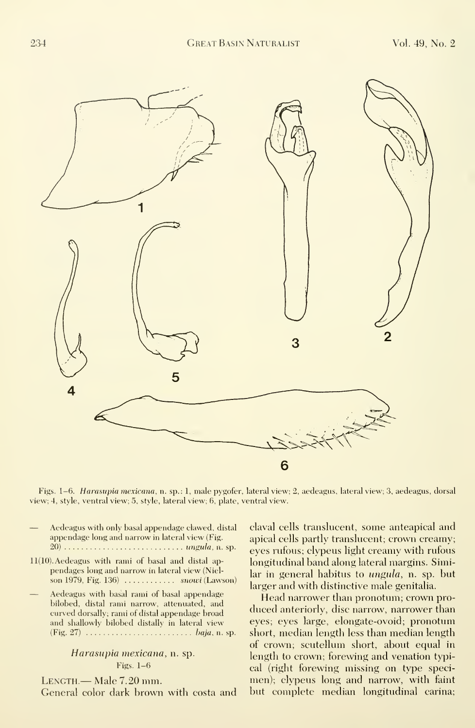

Figs. 1-6. Harasupia mexicana, n. sp.: 1, male pygofer, lateral view; 2, aedeagus, lateral view; 3, aedeagus, dorsal view; 4, style, ventral view; 5, style, lateral view; 6, plate, ventral view.

- Aedeagus with only basal appendage clawed, distal appendage long and narrow in lateral view (Fig. 20) ungula, n. sp.
- 11(10). Aedeagus with rami of basal and distal ap pendages long and narrow in lateral view (Niel son 1979, Fig.  $136$ )  $\dots$   $\dots$   $snowi$  (Lawson)
- Aedeagus with basal rami of basal appendage bilobed, distal rami narrow, attenuated, and curved dorsally; rami of distal appendage broad and shallowly bilobed distally in lateral view  $(Fig. 27)$   $\dots$   $\dots$   $\dots$   $\dots$   $\dots$   $\dots$   $baja$ , n. sp.

#### Harasupia mexicana, n. sp. Figs. 1-6

Length.— Male 7.20 mm. General color dark brown with costa and claval cells translucent, some anteapical and apical cells partly translucent; crown creamy; eyes rufous; clypeus light creamy with rufous longitudinal band along lateral margins. Similar in general habitus to ungula, n. sp. but larger and with distinctive male genitalia.

Head narrower than pronotum; crown pro duced anteriorly, disc narrow, narrower than eyes; eyes large, elongate-ovoid; pronotum short, median length less than median length of crown; scutellum short, about equal in length to crown; forewing and venation typical (right forewing missing on type specimen); clypeus long and narrow, with faint but complete median longitudinal carina;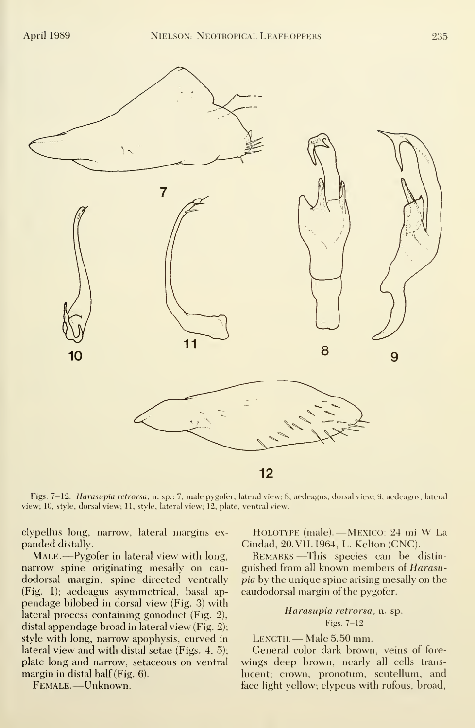

Figs. 7-12. Harasupia retrorsa, n. sp.: 7, male pygofer, lateral view; 8, aedeagus, dorsal view; 9, aedeagus, lateral view; 10, style, dorsal view; 11, style, lateral view; 12, plate, ventral view.

clypellus long, narrow, lateral margins ex panded distally.

MALE.—Pygofer in lateral view with long, narrow spine originating mesally on cau dodorsal margin, spine directed ventrally (Fig. 1); aedeagus asymmetrical, basal ap pendage bilobed in dorsal view (Fig. 3) with lateral process containing gonoduct (Fig. 2), distal appendage broad in lateral view (Fig. 2); style with long, narrow apophysis, curved in lateral view and with distal setae (Figs. 4, 5); plate long and narrow, setaceous on ventral margin in distal half (Fig. 6).

Female. —Unknown.

Holotype (male). —MEXICO: <sup>24</sup> mi W La Ciudad, 20. VII. 1964, L. Kelton (CNC).

Remarks.—This species can be distin guished from all known members of Harasupia by the unique spine arising mesally on the caudodorsal margin of the pygofer.

> Harasupia retrorsa, n. sp. Figs. 7-12

LENGTH. — Male 5.50 mm.

General color dark brown, veins of fore wings deep brown, nearly all cells trans lucent; crown, pronotum, scutellum, and face light yellow; clypeus with rufous, broad,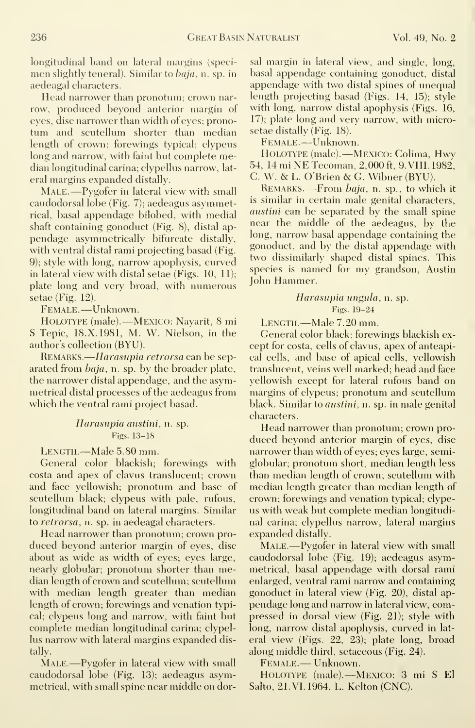longitudinal band on lateral margins (specimen slightly teneral). Similar to baja, n. sp. in aedeagal characters.

Head narrower than pronotum; crown nar row, produced beyond anterior margin of eyes, disc narrower than width of eyes; pronotum and scutellum shorter than median length of crown; forewings typical; clypeus long and narrow, with faint but complete median longitudinal carina; clypellus narrow, lat eral margins expanded distally.

MALE.—Pygofer in lateral view with small caudodorsal lobe (Fig. 7); aedeagus asymmetrical, basal appendage bilobed, with medial shaft containing gonoduct (Fig. 8), distal ap pendage asymmetrically bifurcate distally, with ventral distal rami projecting basad (Fig. 9); style with long, narrow apophysis, curved in lateral view with distal setae (Figs. 10, 11); plate long and very broad, with numerous setae (Fig. 12).

Female. —Unknown.

Holotype (male). Mexico: Navarit, 8 mi S Tepic, 18.X. 1981, M. W. Nielson, in the author's collection (BYU).

REMARKS.—Harasupia retrorsa can be separated from baja, n. sp. by the broader plate, the narrower distal appendage, and the asymmetrical distal processes of the aedeagus from which the ventral rami project basad.

> Harasupia austini, n. sp. Figs. 13-18

LENGTH.—Male 5.80 mm.

General color blackish; forewings with costa and apex of clavus translucent; crown and face yellowish; pronotum and base of scutellum black; clypeus with pale, rufous, longitudinal band on lateral margins. Similar to retrorsa, n. sp. in aedeagal characters.

Head narrower than pronotum; crown pro duced beyond anterior margin of eyes, disc about as wide as width of eyes; eyes large, nearly globular; pronotum shorter than median length of crown and scutellum; scutellum with median length greater than median length of crown; forewings and venation typical; clypeus long and narrow, with faint but complete median longitudinal carina; clypellus narrow with lateral margins expanded distally.

MALE.—Pygofer in lateral view with small caudodorsal lobe (Fig. 13); aedeagus asymmetrical, with small spine near middle on dorsal margin in lateral view, and single, long, basal appendage containing gonoduct, distal appendage with two distal spines of unequal length projecting basad (Figs. 14, 15); style with long, narrow distal apophysis (Figs. 16, 17); plate long and very narrow, with microsetae distally (Fig. 18).

Female. —Unknown.

Holotype (male). Mexico: Colima, Hwy 54, <sup>14</sup> mi NE Tecoman, 2,000 ft, 9. VIII. 1982, C. W. & L. O'Brien & G. Wibner (BYU).

REMARKS. - From baja, n. sp., to which it is similar in certain male genital characters, *austini* can be separated by the small spine near the middle of the aedeagus, by the long, narrow basal appendage containing the gonoduct, and by the distal appendage with two dissimilarly shaped distal spines. This species is named for my grandson, Austin John Hammer.

#### Harasupia ungula, n. sp. Figs. 19-24

Length.—Male 7.20 mm.

General color black; forewings blackish ex cept for costa, cells of clavus, apex of anteapical cells, and base of apical cells, yellowish translucent, veins well marked; head and face yellowish except for lateral rufous band on margins of clypeus; pronotum and scutellum black. Similar to austini, n. sp. in male genital characters.

Head narrower than pronotum; crown pro duced beyond anterior margin of eyes, disc narrower than width of eyes; eyes large, semiglobular; pronotum short, median length less than median length of crown; scutellum with median length greater than median length of crown; forewings and venation typical; clype us with weak but complete median longitudinal carina; clypellus narrow, lateral margins expanded distally.

MALE.—Pygofer in lateral view with small caudodorsal lobe (Fig. 19); aedeagus asymmetrical, basal appendage with dorsal rami enlarged, ventral rami narrow and containing gonoduct in lateral view (Fig. 20), distal ap pendage long and narrow in lateral view, compressed in dorsal view (Fig. 21); style with long, narrow distal apophysis, curved in lat eral view (Figs. 22, 23); plate long, broad along middle third, setaceous (Fig. 24).

Female. — Unknown.

Holotype (male). Mexico: 3 mi S El Salto, 21. VI. 1964, L. Kelton (CNC).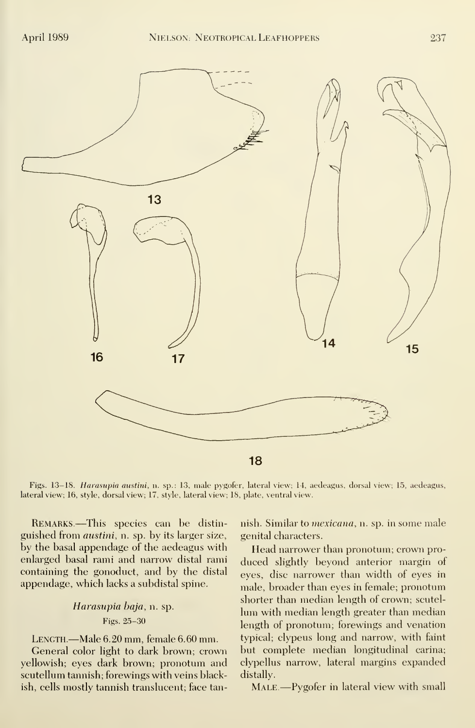

Figs. 13–18. Harasupia austini, n. sp.: 13, male pygofer, lateral view; 14, aedeagus, dorsal view; 15, aedeagus, lateral view; 16, style, dorsal view; 17, style, lateral view; 18, plate, ventral view.

Remarks.—This species can be distin guished from austini, n. sp. by its larger size, by the basal appendage of the aedeagus with enlarged basal rami and narrow distal rami containing the gonoduct, and by the distal appendage, which lacks a subdistal spine.

## Harasupia baja, n. sp. Figs. 25-30

Length.—Male 6.20 mm, female 6.60 mm.

General color light to dark brown; crown yellowish; eyes dark brown; pronotum and scutellum tannish; forewings with veins blackish, cells mostly tannish translucent; face tannish. Similar to *mexicana*, n. sp. in some male genital characters.

Head narrower than pronotum; crown pro duced slightly beyond anterior margin of eyes, disc narrower than width of eyes in male, broader than eyes in female; pronotum shorter than median length of crown; scutel lum with median length greater than median length of pronotum; forewings and venation typical; clypeus long and narrow, with faint but complete median longitudinal carina; clypellus narrow, lateral margins expanded distally.

MALE.—Pygofer in lateral view with small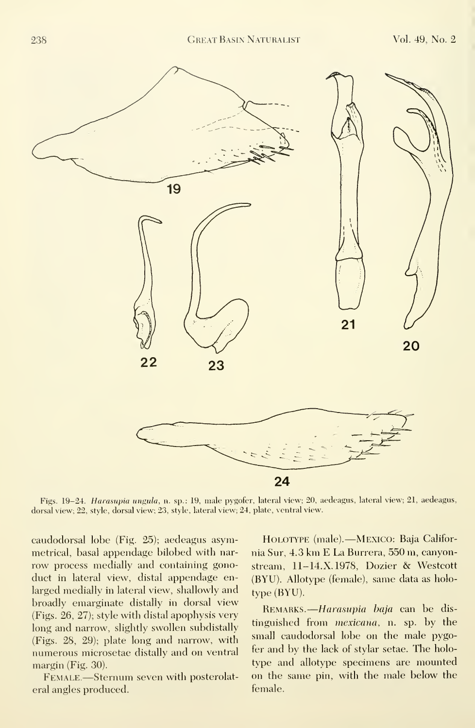

Figs. 19-24. Harasupia ungula, n. sp.: 19, male pygofer, lateral view; 20, aedeagus, lateral view; 21, aedeagus, dorsal view; 22, style, dorsal view; 23, style, lateral view; 24, plate, ventral view.

caudodorsal lobe (Fig. 25); aedeagus asymmetrical, basal appendage bilobed with nar row process medially and containing gonoduct in lateral view, distal appendage enlarged medially in lateral view, shallowly and broadly emarginate distally in dorsal view (Figs. 26, 27); style with distal apophysis very long and narrow, slightly swollen subdistally (Figs. 28, 29); plate long and narrow, with numerous microsetae distally and on ventral margin (Fig. 30).

Female.—Sternum seven with posterolateral angles produced.

Holotype (male). Mexico: Baja Califor nia Sur, 4.3 km E La Burrera, 550 m, canyonstream, 11-14.X.1978, Dozier & Westcott (BYU). Allotype (female), same data as holo type (BYU).

REMARKS.—*Harasupia baja* can be distinguished from mexicana, n. sp. by the small caudodorsal lobe on the male pygofer and by the lack of stylar setae. The holo type and allotype specimens are mounted on the same pin, with the male below the female.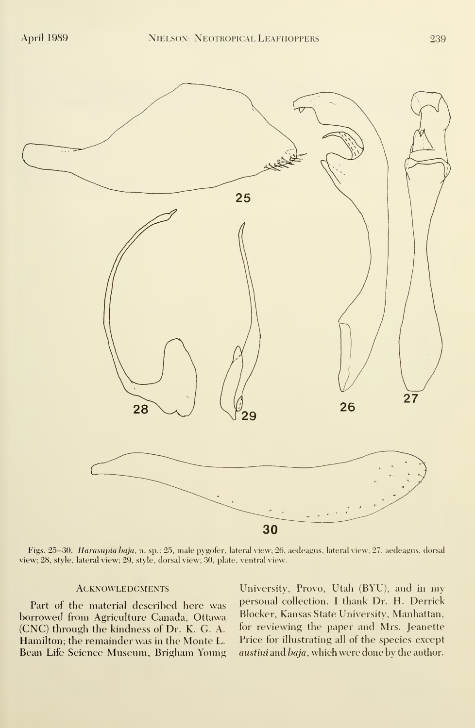

Figs. 25-30. Harasupia baja, n. sp.: 25, male pygofer, lateral view; 26, aedeagus, lateral view; 27, aedeagus, dorsal view; 28, style, lateral view; 29, style, dorsal view; 30, plate, ventral view.

#### **ACKNOWLEDGMENTS**

Part of the material described here was borrowed from Agriculture Canada, Ottawa (CNC) through the kindness of Dr. K. G. A. Hamilton; the remainder was in the Monte L. Bean Life Science Museum, Brigham Young

University, Provo, Utah (BYU), and in my personal collection. <sup>I</sup> thank Dr. H. Derrick Blocker, Kansas State University, Manhattan, for reviewing the paper and Mrs. Jeanette Price for illustrating all of the species except austini and baja, which were done by the author.